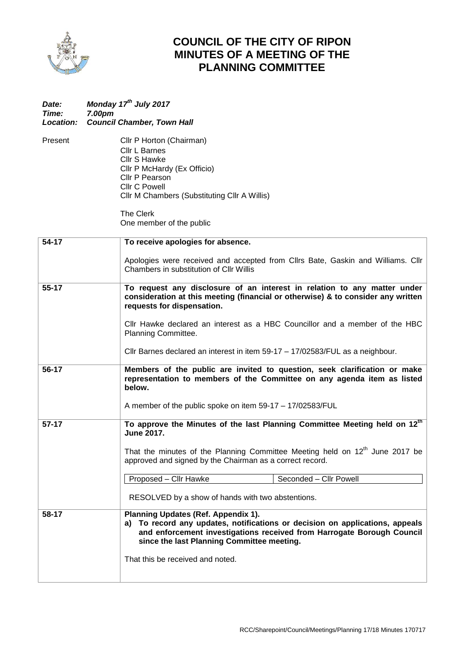

## **COUNCIL OF THE CITY OF RIPON MINUTES OF A MEETING OF THE PLANNING COMMITTEE**

| <b>Date:</b><br>Time:<br><b>Location:</b> | Monday 17 <sup>th</sup> July 2017<br>7.00pm<br><b>Council Chamber, Town Hall</b>                                                                                                                                                                                                                                                                                            |
|-------------------------------------------|-----------------------------------------------------------------------------------------------------------------------------------------------------------------------------------------------------------------------------------------------------------------------------------------------------------------------------------------------------------------------------|
| Present                                   | Cllr P Horton (Chairman)<br>Cllr L Barnes<br>Cllr S Hawke<br>Cllr P McHardy (Ex Officio)<br>Cllr P Pearson<br><b>Cllr C Powell</b><br>Cllr M Chambers (Substituting Cllr A Willis)<br>The Clerk<br>One member of the public                                                                                                                                                 |
| 54-17                                     | To receive apologies for absence.                                                                                                                                                                                                                                                                                                                                           |
|                                           | Apologies were received and accepted from ClIrs Bate, Gaskin and Williams. ClIr<br>Chambers in substitution of Cllr Willis                                                                                                                                                                                                                                                  |
| $55 - 17$                                 | To request any disclosure of an interest in relation to any matter under<br>consideration at this meeting (financial or otherwise) & to consider any written<br>requests for dispensation.<br>CIIr Hawke declared an interest as a HBC Councillor and a member of the HBC<br>Planning Committee.                                                                            |
|                                           | Cllr Barnes declared an interest in item 59-17 – 17/02583/FUL as a neighbour.                                                                                                                                                                                                                                                                                               |
| 56-17                                     | Members of the public are invited to question, seek clarification or make<br>representation to members of the Committee on any agenda item as listed<br>below.<br>A member of the public spoke on item 59-17 - 17/02583/FUL                                                                                                                                                 |
| $57-17$                                   | To approve the Minutes of the last Planning Committee Meeting held on 12 <sup>th</sup><br><b>June 2017.</b><br>That the minutes of the Planning Committee Meeting held on 12 <sup>th</sup> June 2017 be<br>approved and signed by the Chairman as a correct record.<br>Proposed - Cllr Hawke<br>Seconded - Cllr Powell<br>RESOLVED by a show of hands with two abstentions. |
| 58-17                                     | Planning Updates (Ref. Appendix 1).<br>To record any updates, notifications or decision on applications, appeals<br>a)<br>and enforcement investigations received from Harrogate Borough Council<br>since the last Planning Committee meeting.<br>That this be received and noted.                                                                                          |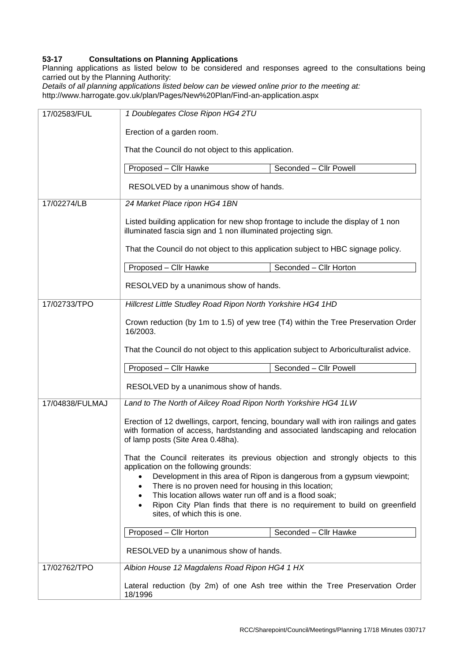## **53-17 Consultations on Planning Applications**

Planning applications as listed below to be considered and responses agreed to the consultations being carried out by the Planning Authority:

*Details of all planning applications listed below can be viewed online prior to the meeting at:* http://www.harrogate.gov.uk/plan/Pages/New%20Plan/Find-an-application.aspx

| 17/02583/FUL    | 1 Doublegates Close Ripon HG4 2TU                                                                                                                                                                                                                                                                                                 |  |  |  |
|-----------------|-----------------------------------------------------------------------------------------------------------------------------------------------------------------------------------------------------------------------------------------------------------------------------------------------------------------------------------|--|--|--|
|                 | Erection of a garden room.                                                                                                                                                                                                                                                                                                        |  |  |  |
|                 | That the Council do not object to this application.                                                                                                                                                                                                                                                                               |  |  |  |
|                 | Proposed - Cllr Hawke<br>Seconded - Cllr Powell                                                                                                                                                                                                                                                                                   |  |  |  |
|                 | RESOLVED by a unanimous show of hands.                                                                                                                                                                                                                                                                                            |  |  |  |
| 17/02274/LB     | 24 Market Place ripon HG4 1BN                                                                                                                                                                                                                                                                                                     |  |  |  |
|                 | Listed building application for new shop frontage to include the display of 1 non<br>illuminated fascia sign and 1 non illuminated projecting sign.                                                                                                                                                                               |  |  |  |
|                 | That the Council do not object to this application subject to HBC signage policy.                                                                                                                                                                                                                                                 |  |  |  |
|                 | Proposed - Cllr Hawke<br>Seconded - Cllr Horton                                                                                                                                                                                                                                                                                   |  |  |  |
|                 | RESOLVED by a unanimous show of hands.                                                                                                                                                                                                                                                                                            |  |  |  |
| 17/02733/TPO    | Hillcrest Little Studley Road Ripon North Yorkshire HG4 1HD                                                                                                                                                                                                                                                                       |  |  |  |
|                 | Crown reduction (by 1m to 1.5) of yew tree (T4) within the Tree Preservation Order<br>16/2003.                                                                                                                                                                                                                                    |  |  |  |
|                 | That the Council do not object to this application subject to Arboriculturalist advice.                                                                                                                                                                                                                                           |  |  |  |
|                 | Proposed - Cllr Hawke<br>Seconded - Cllr Powell                                                                                                                                                                                                                                                                                   |  |  |  |
|                 | RESOLVED by a unanimous show of hands.                                                                                                                                                                                                                                                                                            |  |  |  |
| 17/04838/FULMAJ | Land to The North of Ailcey Road Ripon North Yorkshire HG4 1LW                                                                                                                                                                                                                                                                    |  |  |  |
|                 | Erection of 12 dwellings, carport, fencing, boundary wall with iron railings and gates<br>with formation of access, hardstanding and associated landscaping and relocation<br>of lamp posts (Site Area 0.48ha).                                                                                                                   |  |  |  |
|                 | That the Council reiterates its previous objection and strongly objects to this<br>application on the following grounds:<br>Development in this area of Ripon is dangerous from a gypsum viewpoint;<br>There is no proven need for housing in this location;<br>٠<br>This location allows water run off and is a flood soak;<br>٠ |  |  |  |
|                 | Ripon City Plan finds that there is no requirement to build on greenfield<br>sites, of which this is one.                                                                                                                                                                                                                         |  |  |  |
|                 | Proposed - Cllr Horton<br>Seconded - Cllr Hawke                                                                                                                                                                                                                                                                                   |  |  |  |
|                 | RESOLVED by a unanimous show of hands.                                                                                                                                                                                                                                                                                            |  |  |  |
| 17/02762/TPO    | Albion House 12 Magdalens Road Ripon HG4 1 HX                                                                                                                                                                                                                                                                                     |  |  |  |
|                 | Lateral reduction (by 2m) of one Ash tree within the Tree Preservation Order<br>18/1996                                                                                                                                                                                                                                           |  |  |  |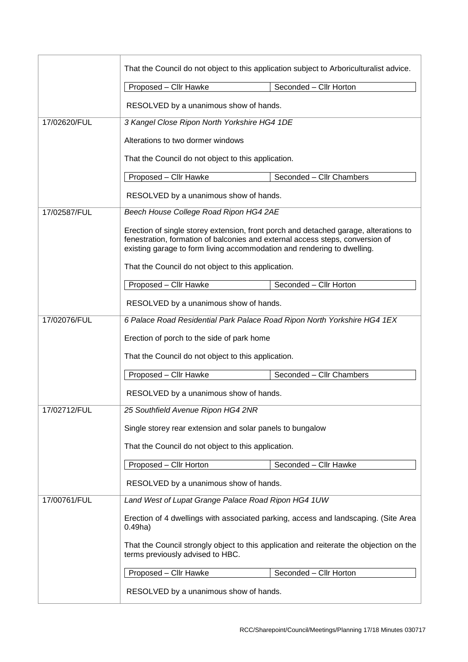|                                                                                          | That the Council do not object to this application subject to Arboriculturalist advice.                                                                                                                                                          |                          |  |
|------------------------------------------------------------------------------------------|--------------------------------------------------------------------------------------------------------------------------------------------------------------------------------------------------------------------------------------------------|--------------------------|--|
|                                                                                          | Proposed - Cllr Hawke                                                                                                                                                                                                                            | Seconded - Cllr Horton   |  |
|                                                                                          | RESOLVED by a unanimous show of hands.                                                                                                                                                                                                           |                          |  |
| 17/02620/FUL                                                                             | 3 Kangel Close Ripon North Yorkshire HG4 1DE                                                                                                                                                                                                     |                          |  |
|                                                                                          | Alterations to two dormer windows                                                                                                                                                                                                                |                          |  |
|                                                                                          | That the Council do not object to this application.                                                                                                                                                                                              |                          |  |
|                                                                                          | Proposed - Cllr Hawke                                                                                                                                                                                                                            | Seconded - Cllr Chambers |  |
|                                                                                          | RESOLVED by a unanimous show of hands.                                                                                                                                                                                                           |                          |  |
| 17/02587/FUL                                                                             | Beech House College Road Ripon HG4 2AE                                                                                                                                                                                                           |                          |  |
|                                                                                          | Erection of single storey extension, front porch and detached garage, alterations to<br>fenestration, formation of balconies and external access steps, conversion of<br>existing garage to form living accommodation and rendering to dwelling. |                          |  |
|                                                                                          | That the Council do not object to this application.                                                                                                                                                                                              |                          |  |
|                                                                                          | Proposed - Cllr Hawke                                                                                                                                                                                                                            | Seconded - Cllr Horton   |  |
|                                                                                          | RESOLVED by a unanimous show of hands.                                                                                                                                                                                                           |                          |  |
| 17/02076/FUL<br>6 Palace Road Residential Park Palace Road Ripon North Yorkshire HG4 1EX |                                                                                                                                                                                                                                                  |                          |  |
|                                                                                          | Erection of porch to the side of park home                                                                                                                                                                                                       |                          |  |
|                                                                                          | That the Council do not object to this application.                                                                                                                                                                                              |                          |  |
|                                                                                          | Proposed - Cllr Hawke                                                                                                                                                                                                                            | Seconded - Cllr Chambers |  |
|                                                                                          | RESOLVED by a unanimous show of hands.                                                                                                                                                                                                           |                          |  |
| 17/02712/FUL                                                                             | 25 Southfield Avenue Ripon HG4 2NR                                                                                                                                                                                                               |                          |  |
|                                                                                          | Single storey rear extension and solar panels to bungalow                                                                                                                                                                                        |                          |  |
|                                                                                          | That the Council do not object to this application.                                                                                                                                                                                              |                          |  |
|                                                                                          | Proposed - Cllr Horton                                                                                                                                                                                                                           | Seconded - Cllr Hawke    |  |
|                                                                                          | RESOLVED by a unanimous show of hands.                                                                                                                                                                                                           |                          |  |
| 17/00761/FUL                                                                             | Land West of Lupat Grange Palace Road Ripon HG4 1UW                                                                                                                                                                                              |                          |  |
|                                                                                          | Erection of 4 dwellings with associated parking, access and landscaping. (Site Area<br>$0.49$ ha)                                                                                                                                                |                          |  |
|                                                                                          | That the Council strongly object to this application and reiterate the objection on the<br>terms previously advised to HBC.                                                                                                                      |                          |  |
|                                                                                          | Proposed - Cllr Hawke                                                                                                                                                                                                                            | Seconded - Cllr Horton   |  |
|                                                                                          | RESOLVED by a unanimous show of hands.                                                                                                                                                                                                           |                          |  |